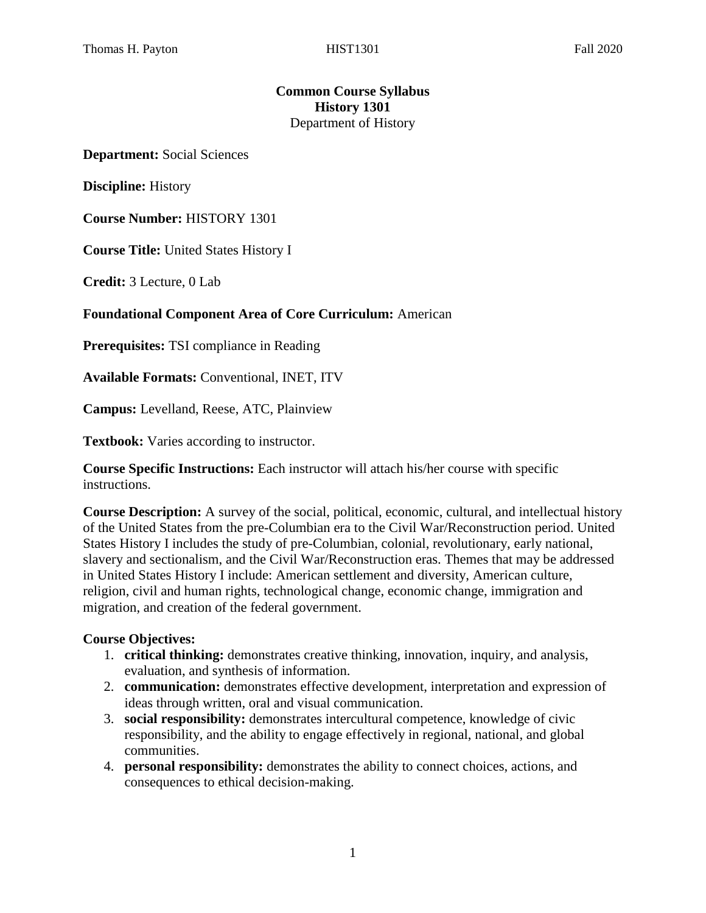# **Common Course Syllabus History 1301** Department of History

**Department:** Social Sciences

**Discipline:** History

**Course Number:** HISTORY 1301

**Course Title:** United States History I

**Credit:** 3 Lecture, 0 Lab

#### **Foundational Component Area of Core Curriculum:** American

**Prerequisites:** TSI compliance in Reading

**Available Formats:** Conventional, INET, ITV

**Campus:** Levelland, Reese, ATC, Plainview

**Textbook:** Varies according to instructor.

**Course Specific Instructions:** Each instructor will attach his/her course with specific instructions.

**Course Description:** A survey of the social, political, economic, cultural, and intellectual history of the United States from the pre-Columbian era to the Civil War/Reconstruction period. United States History I includes the study of pre-Columbian, colonial, revolutionary, early national, slavery and sectionalism, and the Civil War/Reconstruction eras. Themes that may be addressed in United States History I include: American settlement and diversity, American culture, religion, civil and human rights, technological change, economic change, immigration and migration, and creation of the federal government.

#### **Course Objectives:**

- 1. **critical thinking:** demonstrates creative thinking, innovation, inquiry, and analysis, evaluation, and synthesis of information.
- 2. **communication:** demonstrates effective development, interpretation and expression of ideas through written, oral and visual communication.
- 3. **social responsibility:** demonstrates intercultural competence, knowledge of civic responsibility, and the ability to engage effectively in regional, national, and global communities.
- 4. **personal responsibility:** demonstrates the ability to connect choices, actions, and consequences to ethical decision-making.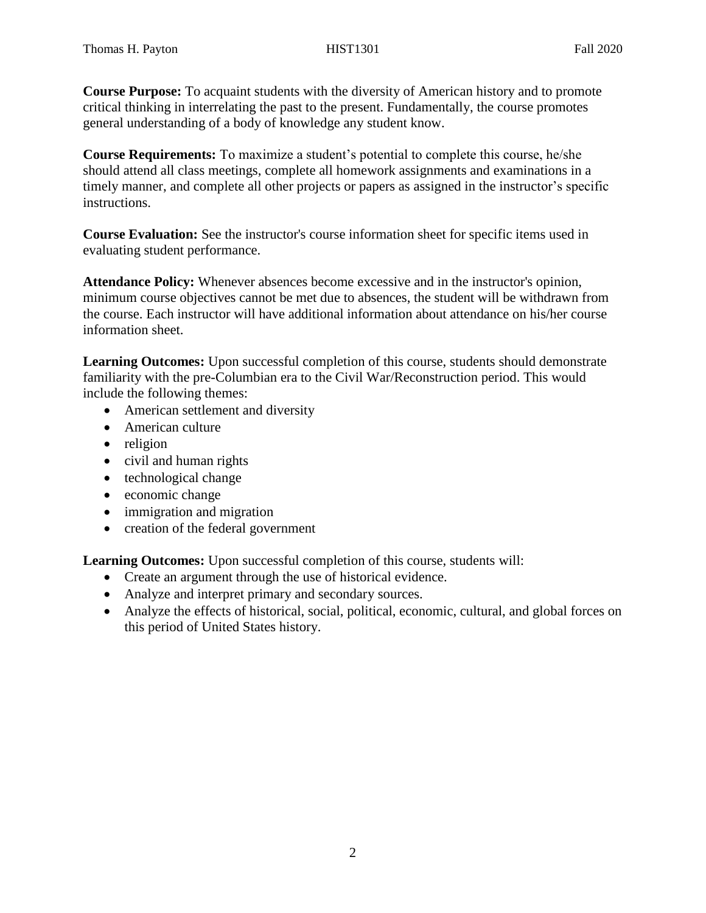**Course Purpose:** To acquaint students with the diversity of American history and to promote critical thinking in interrelating the past to the present. Fundamentally, the course promotes general understanding of a body of knowledge any student know.

**Course Requirements:** To maximize a student's potential to complete this course, he/she should attend all class meetings, complete all homework assignments and examinations in a timely manner, and complete all other projects or papers as assigned in the instructor's specific instructions.

**Course Evaluation:** See the instructor's course information sheet for specific items used in evaluating student performance.

**Attendance Policy:** Whenever absences become excessive and in the instructor's opinion, minimum course objectives cannot be met due to absences, the student will be withdrawn from the course. Each instructor will have additional information about attendance on his/her course information sheet.

**Learning Outcomes:** Upon successful completion of this course, students should demonstrate familiarity with the pre-Columbian era to the Civil War/Reconstruction period. This would include the following themes:

- American settlement and diversity
- American culture
- religion
- civil and human rights
- $\bullet$  technological change
- economic change
- immigration and migration
- creation of the federal government

**Learning Outcomes:** Upon successful completion of this course, students will:

- Create an argument through the use of historical evidence.
- Analyze and interpret primary and secondary sources.
- Analyze the effects of historical, social, political, economic, cultural, and global forces on this period of United States history.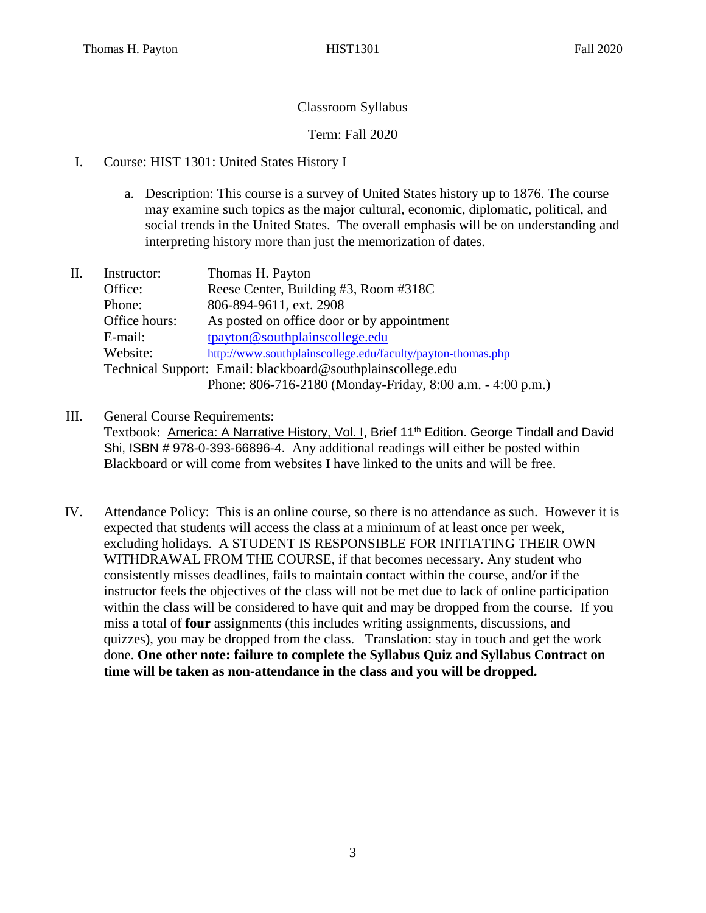# Classroom Syllabus

Term: Fall 2020

- I. Course: HIST 1301: United States History I
	- a. Description: This course is a survey of United States history up to 1876. The course may examine such topics as the major cultural, economic, diplomatic, political, and social trends in the United States. The overall emphasis will be on understanding and interpreting history more than just the memorization of dates.
- II. Instructor: Thomas H. Payton Office: Reese Center, Building #3, Room #318C Phone: 806-894-9611, ext. 2908 Office hours: As posted on office door or by appointment E-mail: [tpayton@southplainscollege.edu](mailto:tpayton@southplainscollege.edu) Website: <http://www.southplainscollege.edu/faculty/payton-thomas.php> Technical Support: Email: blackboard@southplainscollege.edu Phone: 806-716-2180 (Monday-Friday, 8:00 a.m. - 4:00 p.m.)
- III. General Course Requirements:

Textbook: America: A Narrative History, Vol. I, Brief 11<sup>th</sup> Edition. George Tindall and David Shi, ISBN # 978-0-393-66896-4. Any additional readings will either be posted within Blackboard or will come from websites I have linked to the units and will be free.

IV. Attendance Policy: This is an online course, so there is no attendance as such. However it is expected that students will access the class at a minimum of at least once per week, excluding holidays. A STUDENT IS RESPONSIBLE FOR INITIATING THEIR OWN WITHDRAWAL FROM THE COURSE, if that becomes necessary. Any student who consistently misses deadlines, fails to maintain contact within the course, and/or if the instructor feels the objectives of the class will not be met due to lack of online participation within the class will be considered to have quit and may be dropped from the course. If you miss a total of **four** assignments (this includes writing assignments, discussions, and quizzes), you may be dropped from the class. Translation: stay in touch and get the work done. **One other note: failure to complete the Syllabus Quiz and Syllabus Contract on time will be taken as non-attendance in the class and you will be dropped.**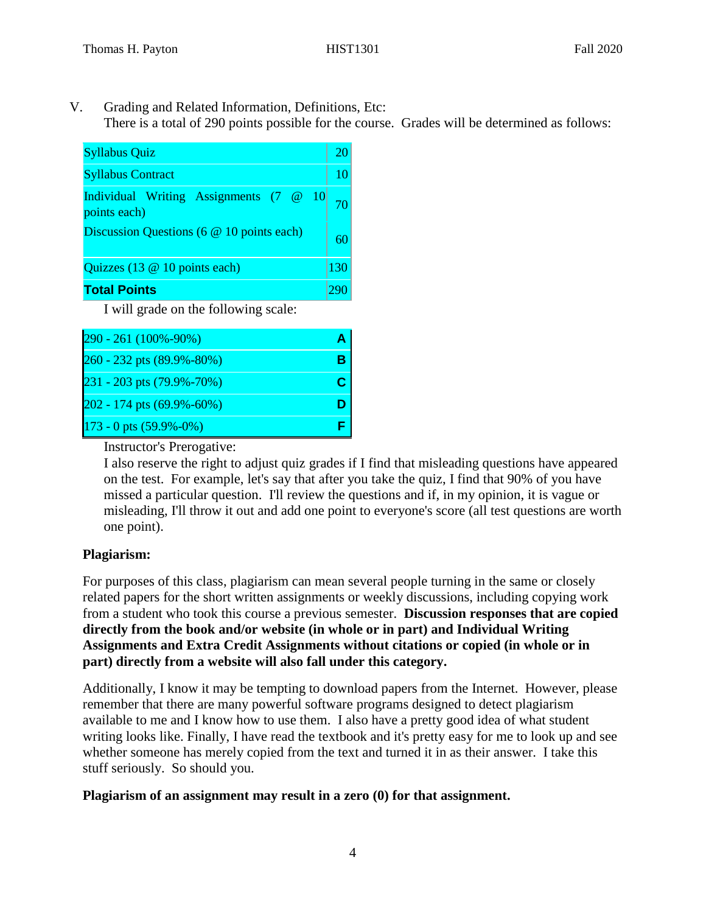V. Grading and Related Information, Definitions, Etc: There is a total of 290 points possible for the course. Grades will be determined as follows:

| <b>Syllabus Quiz</b>                                   |     |
|--------------------------------------------------------|-----|
| <b>Syllabus Contract</b>                               | 10  |
| Individual Writing Assignments (7 @ 10<br>points each) |     |
| Discussion Questions (6 @ 10 points each)              |     |
| Quizzes (13 @ 10 points each)                          | 130 |
| <b>Total Points</b>                                    |     |

I will grade on the following scale:

| 290 - 261 (100%-90%)      |  |
|---------------------------|--|
| 260 - 232 pts (89.9%-80%) |  |
| 231 - 203 pts (79.9%-70%) |  |
| 202 - 174 pts (69.9%-60%) |  |
| 173 - 0 pts (59.9%-0%)    |  |

Instructor's Prerogative:

I also reserve the right to adjust quiz grades if I find that misleading questions have appeared on the test. For example, let's say that after you take the quiz, I find that 90% of you have missed a particular question. I'll review the questions and if, in my opinion, it is vague or misleading, I'll throw it out and add one point to everyone's score (all test questions are worth one point).

# **Plagiarism:**

For purposes of this class, plagiarism can mean several people turning in the same or closely related papers for the short written assignments or weekly discussions, including copying work from a student who took this course a previous semester. **Discussion responses that are copied directly from the book and/or website (in whole or in part) and Individual Writing Assignments and Extra Credit Assignments without citations or copied (in whole or in part) directly from a website will also fall under this category.** 

Additionally, I know it may be tempting to download papers from the Internet. However, please remember that there are many powerful software programs designed to detect plagiarism available to me and I know how to use them. I also have a pretty good idea of what student writing looks like. Finally, I have read the textbook and it's pretty easy for me to look up and see whether someone has merely copied from the text and turned it in as their answer. I take this stuff seriously. So should you.

# **Plagiarism of an assignment may result in a zero (0) for that assignment.**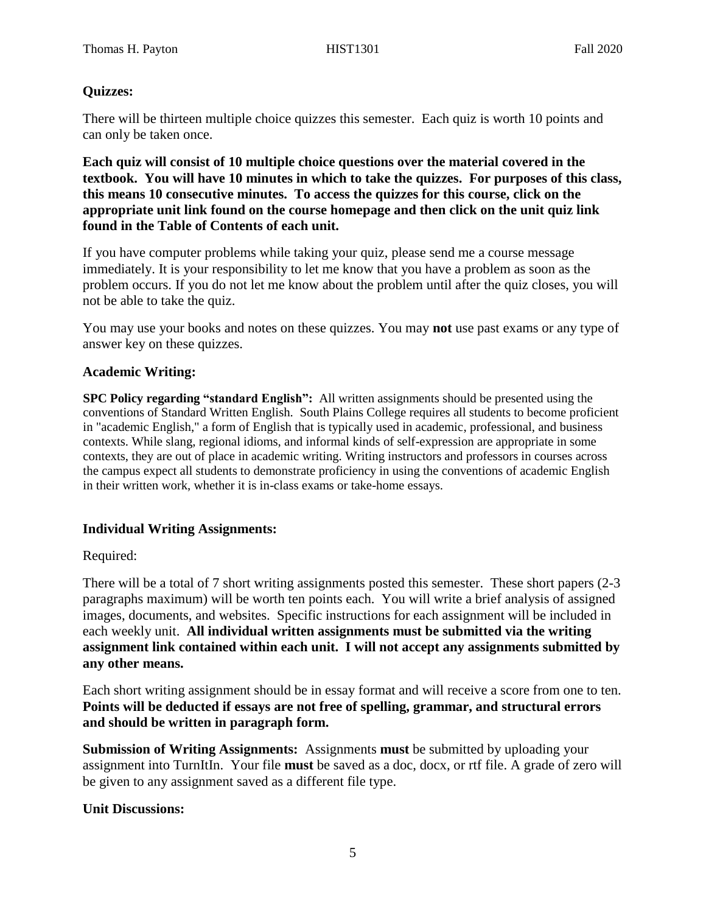## **Quizzes:**

There will be thirteen multiple choice quizzes this semester. Each quiz is worth 10 points and can only be taken once.

**Each quiz will consist of 10 multiple choice questions over the material covered in the textbook. You will have 10 minutes in which to take the quizzes. For purposes of this class, this means 10 consecutive minutes. To access the quizzes for this course, click on the appropriate unit link found on the course homepage and then click on the unit quiz link found in the Table of Contents of each unit.** 

If you have computer problems while taking your quiz, please send me a course message immediately. It is your responsibility to let me know that you have a problem as soon as the problem occurs. If you do not let me know about the problem until after the quiz closes, you will not be able to take the quiz.

You may use your books and notes on these quizzes. You may **not** use past exams or any type of answer key on these quizzes.

## **Academic Writing:**

**SPC Policy regarding "standard English":** All written assignments should be presented using the conventions of Standard Written English. South Plains College requires all students to become proficient in "academic English," a form of English that is typically used in academic, professional, and business contexts. While slang, regional idioms, and informal kinds of self-expression are appropriate in some contexts, they are out of place in academic writing. Writing instructors and professors in courses across the campus expect all students to demonstrate proficiency in using the conventions of academic English in their written work, whether it is in-class exams or take-home essays.

#### **Individual Writing Assignments:**

# Required:

There will be a total of 7 short writing assignments posted this semester. These short papers (2-3 paragraphs maximum) will be worth ten points each. You will write a brief analysis of assigned images, documents, and websites. Specific instructions for each assignment will be included in each weekly unit. **All individual written assignments must be submitted via the writing assignment link contained within each unit. I will not accept any assignments submitted by any other means.**

Each short writing assignment should be in essay format and will receive a score from one to ten. **Points will be deducted if essays are not free of spelling, grammar, and structural errors and should be written in paragraph form.** 

**Submission of Writing Assignments:** Assignments **must** be submitted by uploading your assignment into TurnItIn. Your file **must** be saved as a doc, docx, or rtf file. A grade of zero will be given to any assignment saved as a different file type.

#### **Unit Discussions:**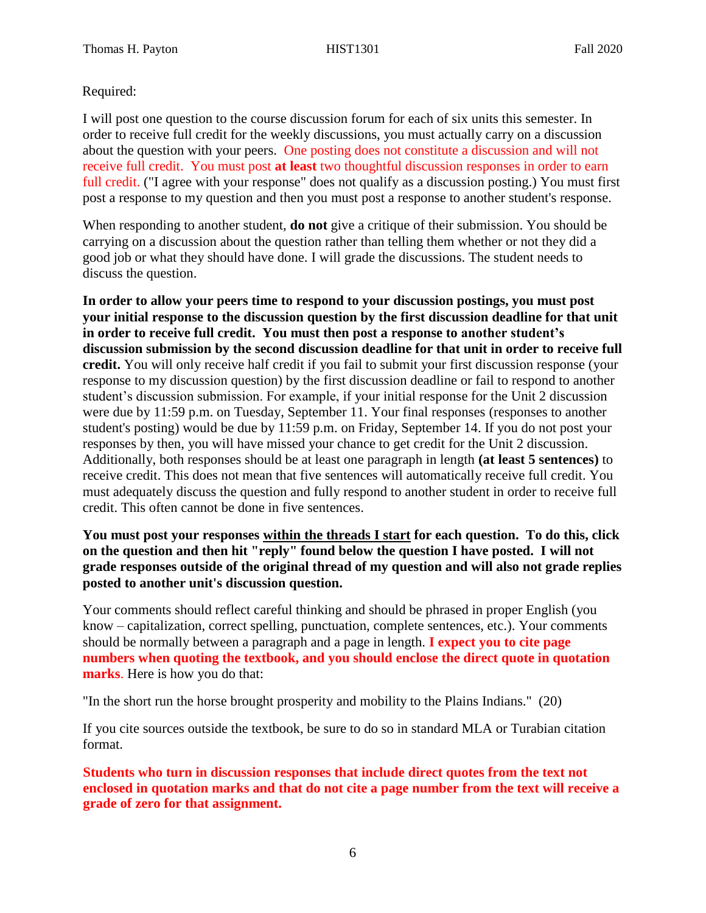# Required:

I will post one question to the course discussion forum for each of six units this semester. In order to receive full credit for the weekly discussions, you must actually carry on a discussion about the question with your peers. One posting does not constitute a discussion and will not receive full credit. You must post **at least** two thoughtful discussion responses in order to earn full credit. ("I agree with your response" does not qualify as a discussion posting.) You must first post a response to my question and then you must post a response to another student's response.

When responding to another student, **do not** give a critique of their submission. You should be carrying on a discussion about the question rather than telling them whether or not they did a good job or what they should have done. I will grade the discussions. The student needs to discuss the question.

**In order to allow your peers time to respond to your discussion postings, you must post your initial response to the discussion question by the first discussion deadline for that unit in order to receive full credit. You must then post a response to another student's discussion submission by the second discussion deadline for that unit in order to receive full credit.** You will only receive half credit if you fail to submit your first discussion response (your response to my discussion question) by the first discussion deadline or fail to respond to another student's discussion submission. For example, if your initial response for the Unit 2 discussion were due by 11:59 p.m. on Tuesday, September 11. Your final responses (responses to another student's posting) would be due by 11:59 p.m. on Friday, September 14. If you do not post your responses by then, you will have missed your chance to get credit for the Unit 2 discussion. Additionally, both responses should be at least one paragraph in length **(at least 5 sentences)** to receive credit. This does not mean that five sentences will automatically receive full credit. You must adequately discuss the question and fully respond to another student in order to receive full credit. This often cannot be done in five sentences.

## **You must post your responses within the threads I start for each question. To do this, click on the question and then hit "reply" found below the question I have posted. I will not grade responses outside of the original thread of my question and will also not grade replies posted to another unit's discussion question.**

Your comments should reflect careful thinking and should be phrased in proper English (you know – capitalization, correct spelling, punctuation, complete sentences, etc.). Your comments should be normally between a paragraph and a page in length. **I expect you to cite page numbers when quoting the textbook, and you should enclose the direct quote in quotation marks**. Here is how you do that:

"In the short run the horse brought prosperity and mobility to the Plains Indians." (20)

If you cite sources outside the textbook, be sure to do so in standard MLA or Turabian citation format.

**Students who turn in discussion responses that include direct quotes from the text not enclosed in quotation marks and that do not cite a page number from the text will receive a grade of zero for that assignment.**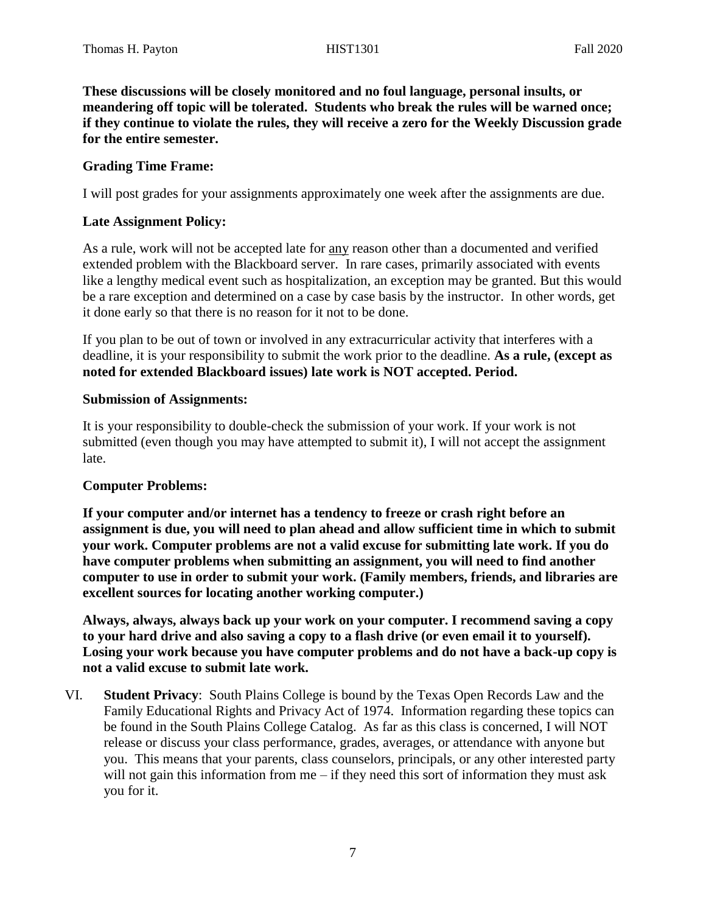**These discussions will be closely monitored and no foul language, personal insults, or meandering off topic will be tolerated. Students who break the rules will be warned once; if they continue to violate the rules, they will receive a zero for the Weekly Discussion grade for the entire semester.** 

## **Grading Time Frame:**

I will post grades for your assignments approximately one week after the assignments are due.

## **Late Assignment Policy:**

As a rule, work will not be accepted late for any reason other than a documented and verified extended problem with the Blackboard server. In rare cases, primarily associated with events like a lengthy medical event such as hospitalization, an exception may be granted. But this would be a rare exception and determined on a case by case basis by the instructor. In other words, get it done early so that there is no reason for it not to be done.

If you plan to be out of town or involved in any extracurricular activity that interferes with a deadline, it is your responsibility to submit the work prior to the deadline. **As a rule, (except as noted for extended Blackboard issues) late work is NOT accepted. Period.** 

#### **Submission of Assignments:**

It is your responsibility to double-check the submission of your work. If your work is not submitted (even though you may have attempted to submit it), I will not accept the assignment late.

# **Computer Problems:**

**If your computer and/or internet has a tendency to freeze or crash right before an assignment is due, you will need to plan ahead and allow sufficient time in which to submit your work. Computer problems are not a valid excuse for submitting late work. If you do have computer problems when submitting an assignment, you will need to find another computer to use in order to submit your work. (Family members, friends, and libraries are excellent sources for locating another working computer.)**

**Always, always, always back up your work on your computer. I recommend saving a copy to your hard drive and also saving a copy to a flash drive (or even email it to yourself). Losing your work because you have computer problems and do not have a back-up copy is not a valid excuse to submit late work.**

VI. **Student Privacy**: South Plains College is bound by the Texas Open Records Law and the Family Educational Rights and Privacy Act of 1974. Information regarding these topics can be found in the South Plains College Catalog. As far as this class is concerned, I will NOT release or discuss your class performance, grades, averages, or attendance with anyone but you. This means that your parents, class counselors, principals, or any other interested party will not gain this information from me – if they need this sort of information they must ask you for it.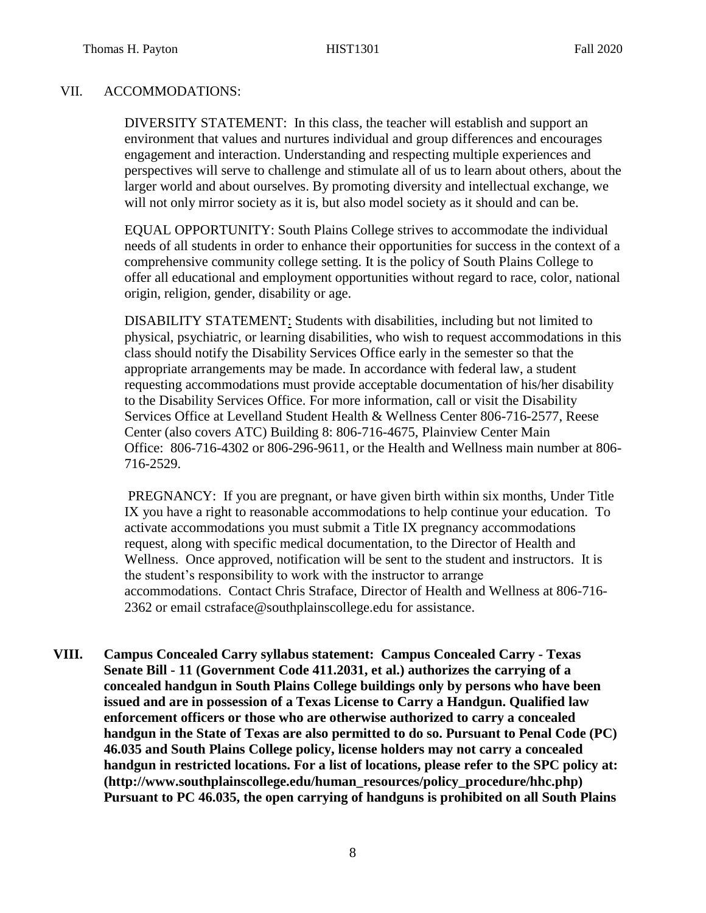## VII. ACCOMMODATIONS:

DIVERSITY STATEMENT: In this class, the teacher will establish and support an environment that values and nurtures individual and group differences and encourages engagement and interaction. Understanding and respecting multiple experiences and perspectives will serve to challenge and stimulate all of us to learn about others, about the larger world and about ourselves. By promoting diversity and intellectual exchange, we will not only mirror society as it is, but also model society as it should and can be.

EQUAL OPPORTUNITY: South Plains College strives to accommodate the individual needs of all students in order to enhance their opportunities for success in the context of a comprehensive community college setting. It is the policy of South Plains College to offer all educational and employment opportunities without regard to race, color, national origin, religion, gender, disability or age.

DISABILITY STATEMENT: Students with disabilities, including but not limited to physical, psychiatric, or learning disabilities, who wish to request accommodations in this class should notify the Disability Services Office early in the semester so that the appropriate arrangements may be made. In accordance with federal law, a student requesting accommodations must provide acceptable documentation of his/her disability to the Disability Services Office. For more information, call or visit the Disability Services Office at Levelland Student Health & Wellness Center 806-716-2577, Reese Center (also covers ATC) Building 8: 806-716-4675, Plainview Center Main Office: 806-716-4302 or 806-296-9611, or the Health and Wellness main number at 806- 716-2529.

PREGNANCY: If you are pregnant, or have given birth within six months, Under Title IX you have a right to reasonable accommodations to help continue your education. To activate accommodations you must submit a Title IX pregnancy accommodations request, along with specific medical documentation, to the Director of Health and Wellness. Once approved, notification will be sent to the student and instructors. It is the student's responsibility to work with the instructor to arrange accommodations. Contact Chris Straface, Director of Health and Wellness at 806-716- 2362 or email [cstraface@southplainscollege.edu](mailto:cstraface@southplainscollege.edu) for assistance.

**VIII. Campus Concealed Carry syllabus statement: Campus Concealed Carry - Texas Senate Bill - 11 (Government Code 411.2031, et al.) authorizes the carrying of a concealed handgun in South Plains College buildings only by persons who have been issued and are in possession of a Texas License to Carry a Handgun. Qualified law enforcement officers or those who are otherwise authorized to carry a concealed handgun in the State of Texas are also permitted to do so. Pursuant to Penal Code (PC) 46.035 and South Plains College policy, license holders may not carry a concealed handgun in restricted locations. For a list of locations, please refer to the SPC policy at: (http://www.southplainscollege.edu/human\_resources/policy\_procedure/hhc.php) Pursuant to PC 46.035, the open carrying of handguns is prohibited on all South Plains**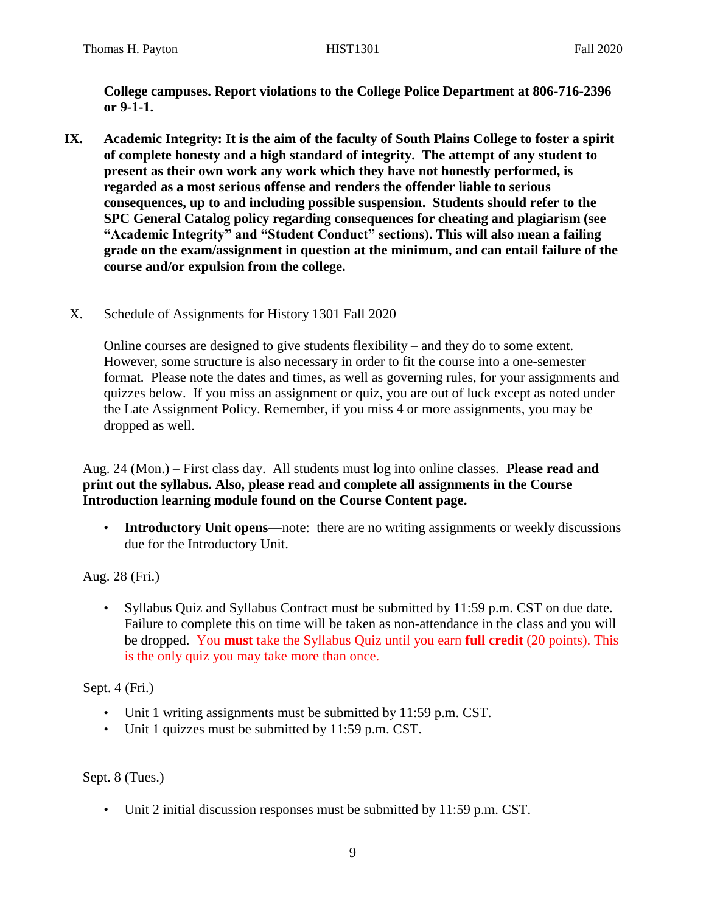**College campuses. Report violations to the College Police Department at 806-716-2396 or 9-1-1.**

- **IX. Academic Integrity: It is the aim of the faculty of South Plains College to foster a spirit of complete honesty and a high standard of integrity. The attempt of any student to present as their own work any work which they have not honestly performed, is regarded as a most serious offense and renders the offender liable to serious consequences, up to and including possible suspension. Students should refer to the SPC General Catalog policy regarding consequences for cheating and plagiarism (see "Academic Integrity" and "Student Conduct" sections). This will also mean a failing grade on the exam/assignment in question at the minimum, and can entail failure of the course and/or expulsion from the college.**
- X. Schedule of Assignments for History 1301 Fall 2020

Online courses are designed to give students flexibility – and they do to some extent. However, some structure is also necessary in order to fit the course into a one-semester format. Please note the dates and times, as well as governing rules, for your assignments and quizzes below. If you miss an assignment or quiz, you are out of luck except as noted under the Late Assignment Policy. Remember, if you miss 4 or more assignments, you may be dropped as well.

Aug. 24 (Mon.) – First class day. All students must log into online classes. **Please read and print out the syllabus. Also, please read and complete all assignments in the Course Introduction learning module found on the Course Content page.**

**Introductory Unit opens—note:** there are no writing assignments or weekly discussions due for the Introductory Unit.

Aug. 28 (Fri.)

• Syllabus Quiz and Syllabus Contract must be submitted by 11:59 p.m. CST on due date. Failure to complete this on time will be taken as non-attendance in the class and you will be dropped. You **must** take the Syllabus Quiz until you earn **full credit** (20 points). This is the only quiz you may take more than once.

Sept. 4 (Fri.)

- Unit 1 writing assignments must be submitted by 11:59 p.m. CST.
- Unit 1 quizzes must be submitted by 11:59 p.m. CST.

Sept. 8 (Tues.)

• Unit 2 initial discussion responses must be submitted by 11:59 p.m. CST.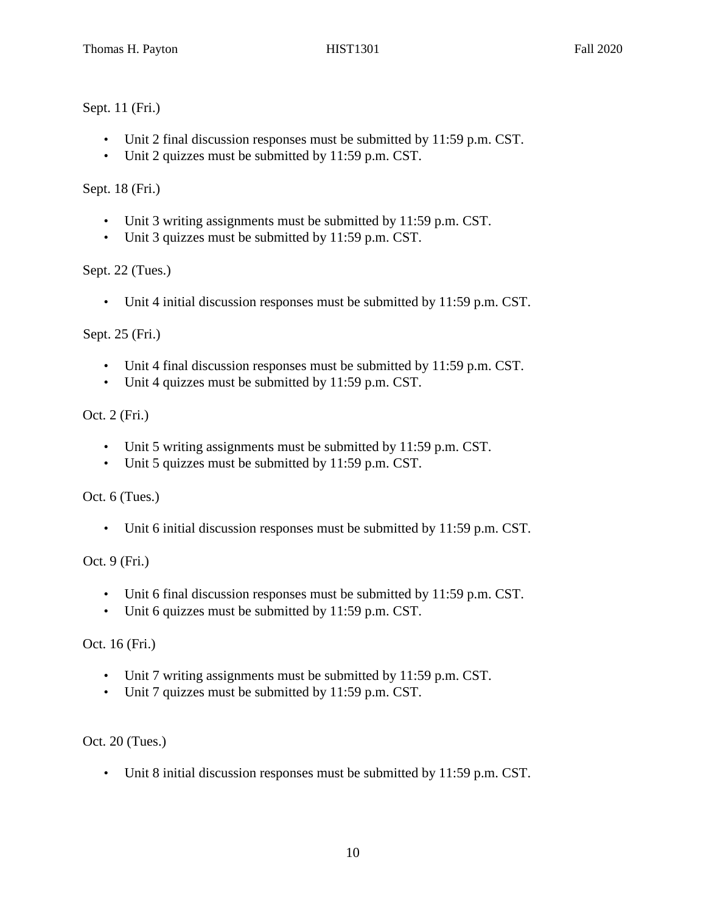# Sept. 11 (Fri.)

- Unit 2 final discussion responses must be submitted by 11:59 p.m. CST.
- Unit 2 quizzes must be submitted by 11:59 p.m. CST.

Sept. 18 (Fri.)

- Unit 3 writing assignments must be submitted by 11:59 p.m. CST.
- Unit 3 quizzes must be submitted by 11:59 p.m. CST.

Sept. 22 (Tues.)

• Unit 4 initial discussion responses must be submitted by 11:59 p.m. CST.

Sept. 25 (Fri.)

- Unit 4 final discussion responses must be submitted by 11:59 p.m. CST.
- Unit 4 quizzes must be submitted by 11:59 p.m. CST.

Oct. 2 (Fri.)

- Unit 5 writing assignments must be submitted by 11:59 p.m. CST.
- Unit 5 quizzes must be submitted by 11:59 p.m. CST.

Oct. 6 (Tues.)

• Unit 6 initial discussion responses must be submitted by 11:59 p.m. CST.

Oct. 9 (Fri.)

- Unit 6 final discussion responses must be submitted by 11:59 p.m. CST.
- Unit 6 quizzes must be submitted by 11:59 p.m. CST.

Oct. 16 (Fri.)

- Unit 7 writing assignments must be submitted by 11:59 p.m. CST.
- Unit 7 quizzes must be submitted by 11:59 p.m. CST.

Oct. 20 (Tues.)

• Unit 8 initial discussion responses must be submitted by 11:59 p.m. CST.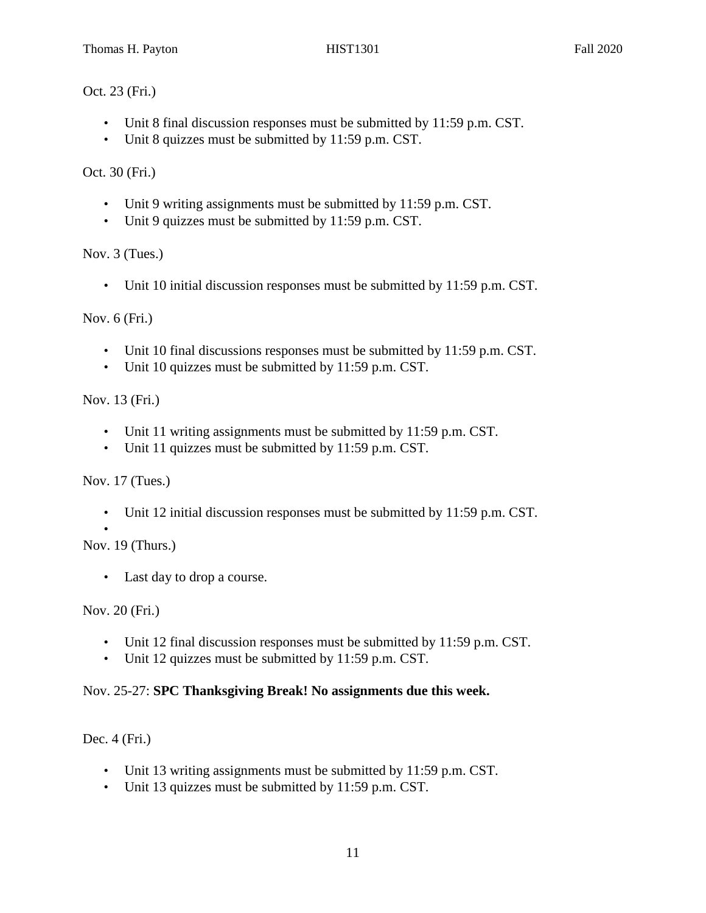Oct. 23 (Fri.)

- Unit 8 final discussion responses must be submitted by 11:59 p.m. CST.
- Unit 8 quizzes must be submitted by 11:59 p.m. CST.

Oct. 30 (Fri.)

- Unit 9 writing assignments must be submitted by 11:59 p.m. CST.
- Unit 9 quizzes must be submitted by 11:59 p.m. CST.

Nov. 3 (Tues.)

• Unit 10 initial discussion responses must be submitted by 11:59 p.m. CST.

Nov. 6 (Fri.)

- Unit 10 final discussions responses must be submitted by 11:59 p.m. CST.
- Unit 10 quizzes must be submitted by 11:59 p.m. CST.

Nov. 13 (Fri.)

- Unit 11 writing assignments must be submitted by 11:59 p.m. CST.
- Unit 11 quizzes must be submitted by 11:59 p.m. CST.

Nov. 17 (Tues.)

• Unit 12 initial discussion responses must be submitted by 11:59 p.m. CST.

• Nov. 19 (Thurs.)

• Last day to drop a course.

Nov. 20 (Fri.)

- Unit 12 final discussion responses must be submitted by 11:59 p.m. CST.
- Unit 12 quizzes must be submitted by 11:59 p.m. CST.

#### Nov. 25-27: **SPC Thanksgiving Break! No assignments due this week.**

Dec. 4 (Fri.)

- Unit 13 writing assignments must be submitted by 11:59 p.m. CST.
- Unit 13 quizzes must be submitted by 11:59 p.m. CST.